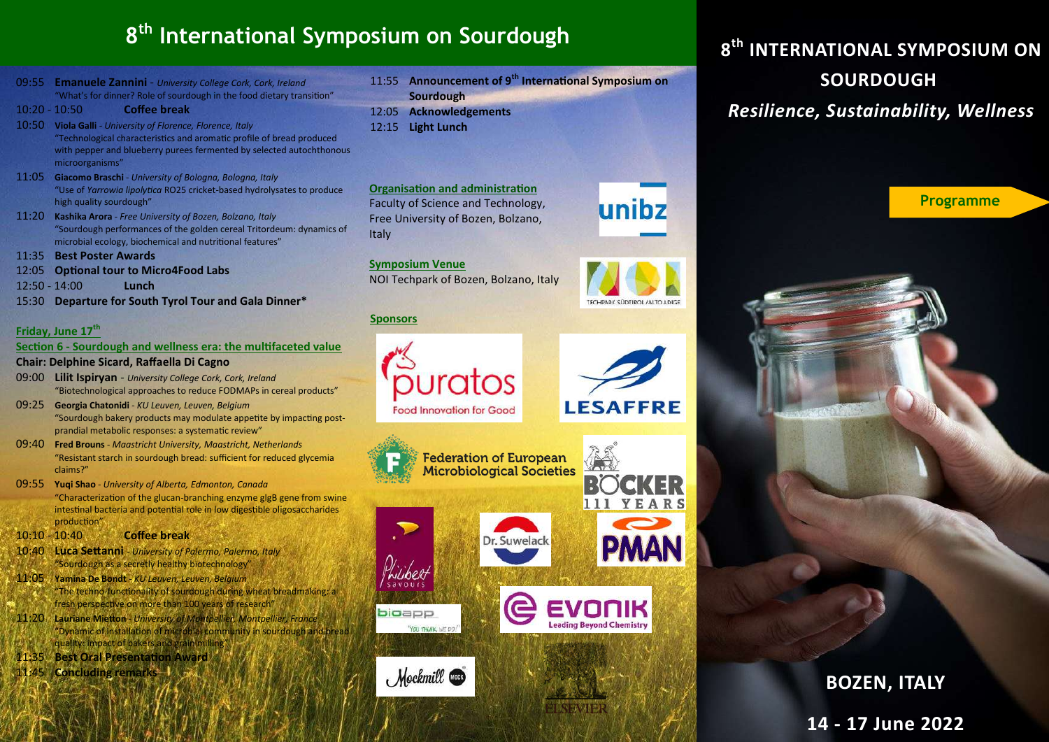## **8 th International Symposium on Sourdough**

09:55 **Emanuele Zannini** - *University College Cork, Cork, Ireland* "What's for dinner? Role of sourdough in the food dietary transition"

10:20 - 10:50 **Coffee break**

- 10:50 **Viola Galli**  *University of Florence, Florence, Italy* "Technological characteristics and aromatic profile of bread produced with pepper and blueberry purees fermented by selected autochthonous microorganisms"
- 11:05 **Giacomo Braschi** *- University of Bologna, Bologna, Italy* "Use of *Yarrowia lipolytica* RO25 cricket-based hydrolysates to produce high quality sourdough"
- 11:20 **Kashika Arora**  *Free University of Bozen, Bolzano, Italy* "Sourdough performances of the golden cereal Tritordeum: dynamics of microbial ecology, biochemical and nutritional features"
- 11:35 **Best Poster Awards**
- 12:05 **Optional tour to Micro4Food Labs**
- 12:50 14:00 **Lunch**
- 15:30 **Departure for South Tyrol Tour and Gala Dinner\***

## **Friday, June 17th**

#### **Section 6 - Sourdough and wellness era: the multifaceted value**

- **Chair: Delphine Sicard, Raffaella Di Cagno**
- 09:00 **Lilit Ispiryan**  *University College Cork, Cork, Ireland* "Biotechnological approaches to reduce FODMAPs in cereal products"
- 09:25 **Georgia Chatonidi**  *KU Leuven, Leuven, Belgium* "Sourdough bakery products may modulate appetite by impacting postprandial metabolic responses: a systematic review"
- 09:40 **Fred Brouns**  *Maastricht University, Maastricht, Netherlands* "Resistant starch in sourdough bread: sufficient for reduced glycemia claims?"
- 09:55 **Yuqi Shao** *- University of Alberta, Edmonton, Canada* "Characterization of the glucan-branching enzyme glgB gene from swine intestinal bacteria and potential role in low digestible oligosaccharides production"
- 10:10 10:40 **Coffee break**
- 10:40 **Luca Settanni** *- University of Palermo, Palermo, Italy*  "Sourdough as a secretly healthy biotechnology"
- 11:05 **Yamina De Bondt**  *KU Leuven, Leuven, Belgium* "The techno-functionality of sourdough during wheat breadmaking: a fresh perspective on more than 100 years of research'
- 11:20 **Lauriane Mietton**  *University of Montpellier, Montpellier, France* "Dynamic of installation of microbial community in sourdough and bread quality: impact of bakers and grain milling"
- 11:35 **Best Oral Presentation Award**
- 11:45 **Concluding remarks**
- 11:55 **Announcement of 9th International Symposium on Sourdough**
- 12:05 **Acknowledgements**
- 12:15 **Light Lunch**





TECHPARK SÜDTIROL/ALTO ADIG

**ESAFFRE** 

111 YEARS  $\mathbf{\Sigma}$ 

**PMAN** 

ading Beyond Chemistr

**8 th INTERNATIONAL SYMPOSIUM ON SOURDOUGH**  *Resilience, Sustainability, Wellness* 



Italy **Symposium Venue** NOI Techpark of Bozen, Bolzano, Italy

### **Sponsors**

bioapp

YOU THUMA WE DO

Mockmill @